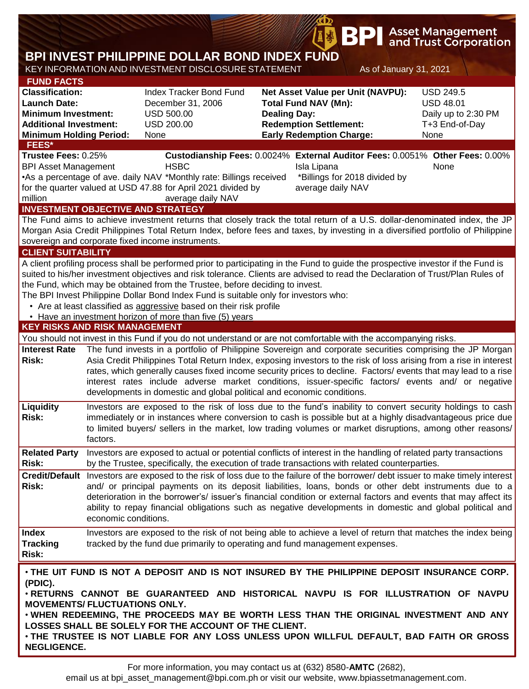|                                                                                                                                                                     |          |                                                                                                                                                                                                                                                                                                                                                                                                                                                                                                                                                                                |                                                                                                                                                             | BP                                                                |                        | <b>Asset Management</b><br>and Trust Corporation                                      |  |  |
|---------------------------------------------------------------------------------------------------------------------------------------------------------------------|----------|--------------------------------------------------------------------------------------------------------------------------------------------------------------------------------------------------------------------------------------------------------------------------------------------------------------------------------------------------------------------------------------------------------------------------------------------------------------------------------------------------------------------------------------------------------------------------------|-------------------------------------------------------------------------------------------------------------------------------------------------------------|-------------------------------------------------------------------|------------------------|---------------------------------------------------------------------------------------|--|--|
|                                                                                                                                                                     |          | BPI INVEST PHILIPPINE DOLLAR BOND INDEX FUND<br>KEY INFORMATION AND INVESTMENT DISCLOSURE STATEMENT                                                                                                                                                                                                                                                                                                                                                                                                                                                                            |                                                                                                                                                             |                                                                   | As of January 31, 2021 |                                                                                       |  |  |
| <b>FUND FACTS</b><br><b>Classification:</b><br><b>Launch Date:</b><br><b>Minimum Investment:</b><br><b>Additional Investment:</b><br><b>Minimum Holding Period:</b> |          | <b>Index Tracker Bond Fund</b><br>December 31, 2006<br><b>USD 500.00</b><br><b>USD 200.00</b><br>None                                                                                                                                                                                                                                                                                                                                                                                                                                                                          | Net Asset Value per Unit (NAVPU):<br><b>Total Fund NAV (Mn):</b><br><b>Dealing Day:</b><br><b>Redemption Settlement:</b><br><b>Early Redemption Charge:</b> |                                                                   |                        | <b>USD 249.5</b><br><b>USD 48.01</b><br>Daily up to 2:30 PM<br>T+3 End-of-Day<br>None |  |  |
| FEES*<br>Trustee Fees: 0.25%<br><b>BPI Asset Management</b><br>million                                                                                              |          | <b>HSBC</b><br>•As a percentage of ave. daily NAV *Monthly rate: Billings received<br>for the quarter valued at USD 47.88 for April 2021 divided by<br>average daily NAV                                                                                                                                                                                                                                                                                                                                                                                                       |                                                                                                                                                             | Isla Lipana<br>*Billings for 2018 divided by<br>average daily NAV |                        | Custodianship Fees: 0.0024% External Auditor Fees: 0.0051% Other Fees: 0.00%<br>None  |  |  |
| <b>CLIENT SUITABILITY</b>                                                                                                                                           |          | <b>INVESTMENT OBJECTIVE AND STRATEGY</b><br>The Fund aims to achieve investment returns that closely track the total return of a U.S. dollar-denominated index, the JP<br>Morgan Asia Credit Philippines Total Return Index, before fees and taxes, by investing in a diversified portfolio of Philippine<br>sovereign and corporate fixed income instruments.                                                                                                                                                                                                                 |                                                                                                                                                             |                                                                   |                        |                                                                                       |  |  |
| <b>KEY RISKS AND RISK MANAGEMENT</b>                                                                                                                                |          | A client profiling process shall be performed prior to participating in the Fund to guide the prospective investor if the Fund is<br>suited to his/her investment objectives and risk tolerance. Clients are advised to read the Declaration of Trust/Plan Rules of<br>the Fund, which may be obtained from the Trustee, before deciding to invest.<br>The BPI Invest Philippine Dollar Bond Index Fund is suitable only for investors who:<br>• Are at least classified as aggressive based on their risk profile<br>• Have an investment horizon of more than five (5) years |                                                                                                                                                             |                                                                   |                        |                                                                                       |  |  |
|                                                                                                                                                                     |          | You should not invest in this Fund if you do not understand or are not comfortable with the accompanying risks.                                                                                                                                                                                                                                                                                                                                                                                                                                                                |                                                                                                                                                             |                                                                   |                        |                                                                                       |  |  |
| <b>Interest Rate</b><br><b>Risk:</b>                                                                                                                                |          | The fund invests in a portfolio of Philippine Sovereign and corporate securities comprising the JP Morgan<br>Asia Credit Philippines Total Return Index, exposing investors to the risk of loss arising from a rise in interest<br>rates, which generally causes fixed income security prices to decline. Factors/ events that may lead to a rise<br>interest rates include adverse market conditions, issuer-specific factors/ events and/ or negative<br>developments in domestic and global political and economic conditions.                                              |                                                                                                                                                             |                                                                   |                        |                                                                                       |  |  |
| <b>Liquidity</b><br><b>Risk:</b>                                                                                                                                    | factors. | Investors are exposed to the risk of loss due to the fund's inability to convert security holdings to cash<br>immediately or in instances where conversion to cash is possible but at a highly disadvantageous price due<br>to limited buyers/ sellers in the market, low trading volumes or market disruptions, among other reasons/                                                                                                                                                                                                                                          |                                                                                                                                                             |                                                                   |                        |                                                                                       |  |  |
| <b>Related Party</b><br><b>Risk:</b>                                                                                                                                |          | Investors are exposed to actual or potential conflicts of interest in the handling of related party transactions<br>by the Trustee, specifically, the execution of trade transactions with related counterparties.                                                                                                                                                                                                                                                                                                                                                             |                                                                                                                                                             |                                                                   |                        |                                                                                       |  |  |
| Risk:                                                                                                                                                               |          | Credit/Default Investors are exposed to the risk of loss due to the failure of the borrower/debt issuer to make timely interest<br>and/ or principal payments on its deposit liabilities, loans, bonds or other debt instruments due to a<br>deterioration in the borrower's/ issuer's financial condition or external factors and events that may affect its<br>ability to repay financial obligations such as negative developments in domestic and global political and<br>economic conditions.                                                                             |                                                                                                                                                             |                                                                   |                        |                                                                                       |  |  |
| <b>Index</b><br><b>Tracking</b><br>Risk:                                                                                                                            |          | Investors are exposed to the risk of not being able to achieve a level of return that matches the index being<br>tracked by the fund due primarily to operating and fund management expenses.                                                                                                                                                                                                                                                                                                                                                                                  |                                                                                                                                                             |                                                                   |                        |                                                                                       |  |  |
| (PDIC).<br><b>MOVEMENTS/ FLUCTUATIONS ONLY.</b><br><b>NEGLIGENCE.</b>                                                                                               |          | . THE UIT FUND IS NOT A DEPOSIT AND IS NOT INSURED BY THE PHILIPPINE DEPOSIT INSURANCE CORP.<br>. RETURNS CANNOT BE GUARANTEED AND HISTORICAL NAVPU IS FOR ILLUSTRATION OF NAVPU<br>. WHEN REDEEMING, THE PROCEEDS MAY BE WORTH LESS THAN THE ORIGINAL INVESTMENT AND ANY<br>LOSSES SHALL BE SOLELY FOR THE ACCOUNT OF THE CLIENT.<br>. THE TRUSTEE IS NOT LIABLE FOR ANY LOSS UNLESS UPON WILLFUL DEFAULT, BAD FAITH OR GROSS                                                                                                                                                 |                                                                                                                                                             |                                                                   |                        |                                                                                       |  |  |

**B** 

email us at bpi\_asset\_management@bpi.com.ph or visit our website, www.bpiassetmanagement.com.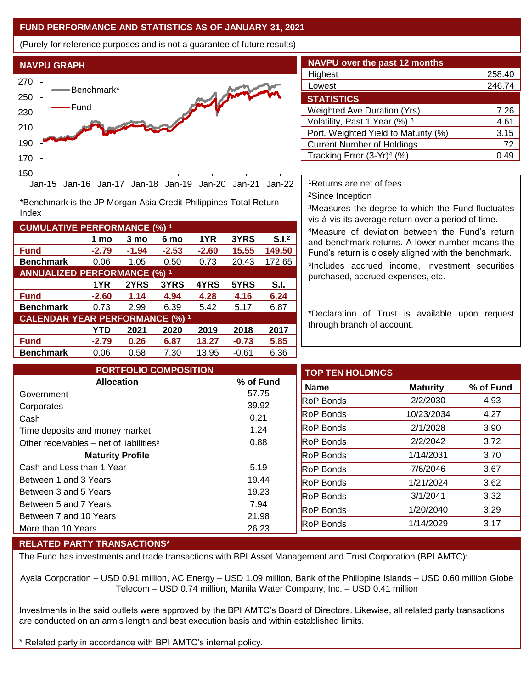## **FUND PERFORMANCE AND STATISTICS AS OF JANUARY 31, 2021**

(Purely for reference purposes and is not a guarantee of future results)



**Fund -2.79 -1.94 -2.53 -2.60 15.55 149.50 Benchmark** 0.06 1.05 0.50 0.73 20.43 172.65

\*Benchmark is the JP Morgan Asia Credit Philippines Total Return

**Fund -2.60 1.14 4.94 4.28 4.16 6.24 Benchmark** 0.73 2.99 6.39 5.42 5.17 6.87

**Fund -2.79 0.26 6.87 13.27 -0.73 5.85 Benchmark** 0.06 0.58 7.30 13.95 -0.61 6.36

**1 mo 3 mo 6 mo 1YR 3YRS S.I.<sup>2</sup>**

**1YR 2YRS 3YRS 4YRS 5YRS S.I.**

**YTD 2021 2020 2019 2018 2017**

| <b>NAVPU over the past 12 months</b>   |                  |
|----------------------------------------|------------------|
| Highest                                | 258.40           |
| Lowest                                 | 246.74           |
| <b>STATISTICS</b>                      |                  |
| <b>Weighted Ave Duration (Yrs)</b>     | 7.26             |
| Volatility, Past 1 Year (%) 3          | 4.61             |
| Port. Weighted Yield to Maturity (%)   | 3.15             |
| <b>Current Number of Holdings</b>      | 72               |
| Tracking Error (3-Yr) <sup>4</sup> (%) | 0.4 <sup>c</sup> |

<sup>1</sup>Returns are net of fees.

<sup>2</sup>Since Inception

<sup>3</sup>Measures the degree to which the Fund fluctuates vis-à-vis its average return over a period of time.

<sup>4</sup>Measure of deviation between the Fund's return and benchmark returns. A lower number means the Fund's return is closely aligned with the benchmark. 5 Includes accrued income, investment securities purchased, accrued expenses, etc.

\*Declaration of Trust is available upon request through branch of account.

| <b>PORTFOLIO COMPOSITION</b>                        |           | <b>TOP TEN HOLDINGS</b> |                 |           |
|-----------------------------------------------------|-----------|-------------------------|-----------------|-----------|
| <b>Allocation</b>                                   | % of Fund | <b>Name</b>             | <b>Maturity</b> | % of Fund |
| Government                                          | 57.75     | <b>RoP Bonds</b>        | 2/2/2030        | 4.93      |
| Corporates                                          | 39.92     |                         |                 |           |
| Cash                                                | 0.21      | <b>RoP Bonds</b>        | 10/23/2034      | 4.27      |
| Time deposits and money market                      | 1.24      | <b>RoP Bonds</b>        | 2/1/2028        | 3.90      |
| Other receivables – net of liabilities <sup>5</sup> | 0.88      | <b>RoP Bonds</b>        | 2/2/2042        | 3.72      |
| <b>Maturity Profile</b>                             |           | <b>RoP Bonds</b>        | 1/14/2031       | 3.70      |
| Cash and Less than 1 Year                           | 5.19      | <b>RoP Bonds</b>        | 7/6/2046        | 3.67      |
| Between 1 and 3 Years                               | 19.44     | <b>RoP Bonds</b>        | 1/21/2024       | 3.62      |
| Between 3 and 5 Years                               | 19.23     | <b>RoP Bonds</b>        | 3/1/2041        | 3.32      |
| Between 5 and 7 Years                               | 7.94      | <b>RoP Bonds</b>        | 1/20/2040       | 3.29      |
| Between 7 and 10 Years                              | 21.98     |                         |                 |           |
| More than 10 Years                                  | 26.23     | <b>RoP Bonds</b>        | 1/14/2029       | 3.17      |

## **RELATED PARTY TRANSACTIONS\***

**CUMULATIVE PERFORMANCE (%) <sup>1</sup>**

Index

**ANNUALIZED PERFORMANCE (%) <sup>1</sup>**

**CALENDAR YEAR PERFORMANCE (%) <sup>1</sup>**

The Fund has investments and trade transactions with BPI Asset Management and Trust Corporation (BPI AMTC):

Ayala Corporation – USD 0.91 million, AC Energy – USD 1.09 million, Bank of the Philippine Islands – USD 0.60 million Globe Telecom – USD 0.74 million, Manila Water Company, Inc. – USD 0.41 million

Investments in the said outlets were approved by the BPI AMTC's Board of Directors. Likewise, all related party transactions are conducted on an arm's length and best execution basis and within established limits.

Related party in accordance with BPI AMTC's internal policy.